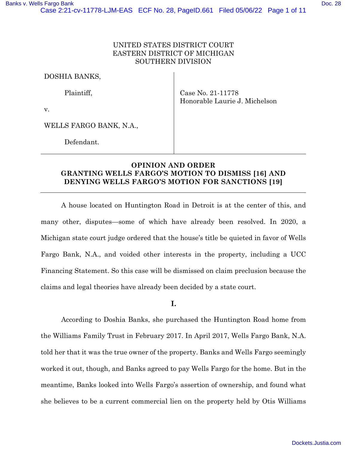## UNITED STATES DISTRICT COURT EASTERN DISTRICT OF MICHIGAN SOUTHERN DIVISION

DOSHIA BANKS,

Plaintiff,

v.

Case No. 21-11778 Honorable Laurie J. Michelson

WELLS FARGO BANK, N.A.,

Defendant.

# **OPINION AND ORDER GRANTING WELLS FARGO'S MOTION TO DISMISS [16] AND DENYING WELLS FARGO'S MOTION FOR SANCTIONS [19]**

A house located on Huntington Road in Detroit is at the center of this, and many other, disputes—some of which have already been resolved. In 2020, a Michigan state court judge ordered that the house's title be quieted in favor of Wells Fargo Bank, N.A., and voided other interests in the property, including a UCC Financing Statement. So this case will be dismissed on claim preclusion because the claims and legal theories have already been decided by a state court.

I.

According to Doshia Banks, she purchased the Huntington Road home from the Williams Family Trust in February 2017. In April 2017, Wells Fargo Bank, N.A. told her that it was the true owner of the property. Banks and Wells Fargo seemingly worked it out, though, and Banks agreed to pay Wells Fargo for the home. But in the meantime, Banks looked into Wells Fargo's assertion of ownership, and found what she believes to be a current commercial lien on the property held by Otis Williams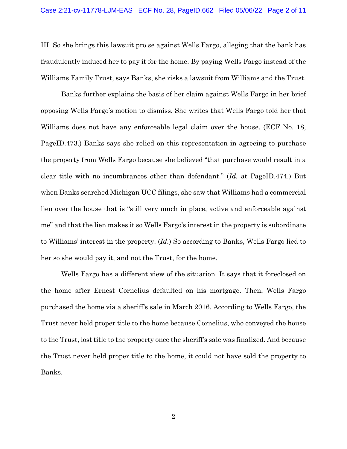III. So she brings this lawsuit pro se against Wells Fargo, alleging that the bank has fraudulently induced her to pay it for the home. By paying Wells Fargo instead of the Williams Family Trust, says Banks, she risks a lawsuit from Williams and the Trust.

Banks further explains the basis of her claim against Wells Fargo in her brief opposing Wells Fargo's motion to dismiss. She writes that Wells Fargo told her that Williams does not have any enforceable legal claim over the house. (ECF No. 18, PageID.473.) Banks says she relied on this representation in agreeing to purchase the property from Wells Fargo because she believed "that purchase would result in a clear title with no incumbrances other than defendant." (*Id.* at PageID.474.) But when Banks searched Michigan UCC filings, she saw that Williams had a commercial lien over the house that is "still very much in place, active and enforceable against me" and that the lien makes it so Wells Fargo's interest in the property is subordinate to Williams' interest in the property. (*Id.*) So according to Banks, Wells Fargo lied to her so she would pay it, and not the Trust, for the home.

Wells Fargo has a different view of the situation. It says that it foreclosed on the home after Ernest Cornelius defaulted on his mortgage. Then, Wells Fargo purchased the home via a sheriff's sale in March 2016. According to Wells Fargo, the Trust never held proper title to the home because Cornelius, who conveyed the house to the Trust, lost title to the property once the sheriff's sale was finalized. And because the Trust never held proper title to the home, it could not have sold the property to Banks.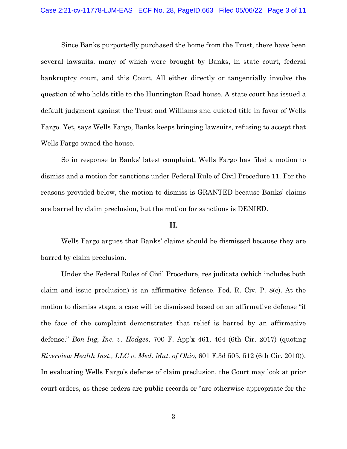Since Banks purportedly purchased the home from the Trust, there have been several lawsuits, many of which were brought by Banks, in state court, federal bankruptcy court, and this Court. All either directly or tangentially involve the question of who holds title to the Huntington Road house. A state court has issued a default judgment against the Trust and Williams and quieted title in favor of Wells Fargo. Yet, says Wells Fargo, Banks keeps bringing lawsuits, refusing to accept that Wells Fargo owned the house.

So in response to Banks' latest complaint, Wells Fargo has filed a motion to dismiss and a motion for sanctions under Federal Rule of Civil Procedure 11. For the reasons provided below, the motion to dismiss is GRANTED because Banks' claims are barred by claim preclusion, but the motion for sanctions is DENIED.

#### II.

Wells Fargo argues that Banks' claims should be dismissed because they are barred by claim preclusion.

Under the Federal Rules of Civil Procedure, res judicata (which includes both claim and issue preclusion) is an affirmative defense. Fed. R. Civ. P. 8(c). At the motion to dismiss stage, a case will be dismissed based on an affirmative defense "if the face of the complaint demonstrates that relief is barred by an affirmative defense." *Bon-Ing, Inc. v. Hodges*, 700 F. App'x 461, 464 (6th Cir. 2017) (quoting *Riverview Health Inst., LLC v. Med. Mut. of Ohio*, 601 F.3d 505, 512 (6th Cir. 2010)). In evaluating Wells Fargo's defense of claim preclusion, the Court may look at prior court orders, as these orders are public records or "are otherwise appropriate for the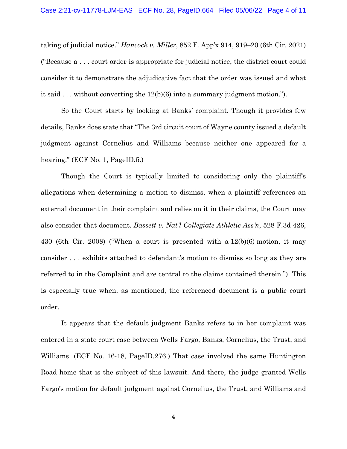taking of judicial notice." *Hancock v. Miller*, 852 F. App'x 914, 919–20 (6th Cir. 2021) ("Because a . . . court order is appropriate for judicial notice, the district court could consider it to demonstrate the adjudicative fact that the order was issued and what it said  $\ldots$  without converting the 12(b)(6) into a summary judgment motion.").

So the Court starts by looking at Banks' complaint. Though it provides few details, Banks does state that "The 3rd circuit court of Wayne county issued a default judgment against Cornelius and Williams because neither one appeared for a hearing." (ECF No. 1, PageID.5.)

Though the Court is typically limited to considering only the plaintiff's allegations when determining a motion to dismiss, when a plaintiff references an external document in their complaint and relies on it in their claims, the Court may also consider that document. *Bassett v. Nat'l Collegiate Athletic Ass'n*, 528 F.3d 426, 430 (6th Cir. 2008) ("When a court is presented with a 12(b)(6) motion, it may consider . . . exhibits attached to defendant's motion to dismiss so long as they are referred to in the Complaint and are central to the claims contained therein."). This is especially true when, as mentioned, the referenced document is a public court order.

It appears that the default judgment Banks refers to in her complaint was entered in a state court case between Wells Fargo, Banks, Cornelius, the Trust, and Williams. (ECF No. 16-18, PageID.276.) That case involved the same Huntington Road home that is the subject of this lawsuit. And there, the judge granted Wells Fargo's motion for default judgment against Cornelius, the Trust, and Williams and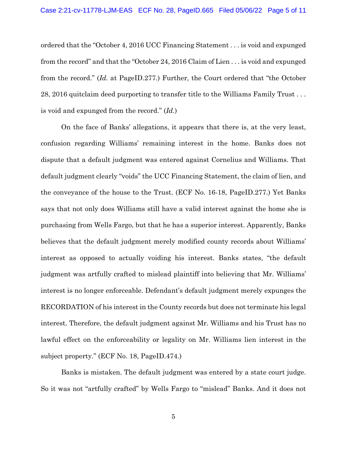ordered that the "October 4, 2016 UCC Financing Statement . . . is void and expunged from the record" and that the "October 24, 2016 Claim of Lien . . . is void and expunged from the record." (*Id.* at PageID.277.) Further, the Court ordered that "the October 28, 2016 quitclaim deed purporting to transfer title to the Williams Family Trust . . . is void and expunged from the record." (*Id.*)

On the face of Banks' allegations, it appears that there is, at the very least, confusion regarding Williams' remaining interest in the home. Banks does not dispute that a default judgment was entered against Cornelius and Williams. That default judgment clearly "voids" the UCC Financing Statement, the claim of lien, and the conveyance of the house to the Trust. (ECF No. 16-18, PageID.277.) Yet Banks says that not only does Williams still have a valid interest against the home she is purchasing from Wells Fargo, but that he has a superior interest. Apparently, Banks believes that the default judgment merely modified county records about Williams' interest as opposed to actually voiding his interest. Banks states, "the default judgment was artfully crafted to mislead plaintiff into believing that Mr. Williams' interest is no longer enforceable. Defendant's default judgment merely expunges the RECORDATION of his interest in the County records but does not terminate his legal interest. Therefore, the default judgment against Mr. Williams and his Trust has no lawful effect on the enforceability or legality on Mr. Williams lien interest in the subject property." (ECF No. 18, PageID.474.)

Banks is mistaken. The default judgment was entered by a state court judge. So it was not "artfully crafted" by Wells Fargo to "mislead" Banks. And it does not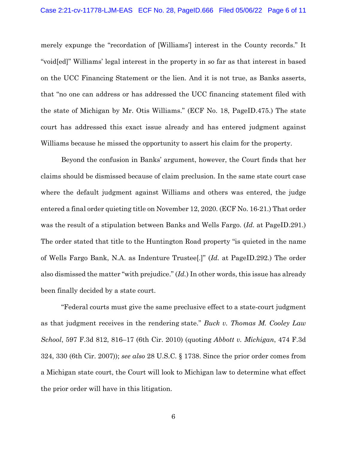merely expunge the "recordation of [Williams'] interest in the County records." It "void[ed]" Williams' legal interest in the property in so far as that interest in based on the UCC Financing Statement or the lien. And it is not true, as Banks asserts, that "no one can address or has addressed the UCC financing statement filed with the state of Michigan by Mr. Otis Williams." (ECF No. 18, PageID.475.) The state court has addressed this exact issue already and has entered judgment against Williams because he missed the opportunity to assert his claim for the property.

Beyond the confusion in Banks' argument, however, the Court finds that her claims should be dismissed because of claim preclusion. In the same state court case where the default judgment against Williams and others was entered, the judge entered a final order quieting title on November 12, 2020. (ECF No. 16-21.) That order was the result of a stipulation between Banks and Wells Fargo. (*Id.* at PageID.291.) The order stated that title to the Huntington Road property "is quieted in the name of Wells Fargo Bank, N.A. as Indenture Trustee[.]" (*Id.* at PageID.292.) The order also dismissed the matter "with prejudice." (*Id.*) In other words, this issue has already been finally decided by a state court.

"Federal courts must give the same preclusive effect to a state-court judgment as that judgment receives in the rendering state." *Buck v. Thomas M. Cooley Law School*, 597 F.3d 812, 816–17 (6th Cir. 2010) (quoting *Abbott v. Michigan*, 474 F.3d 324, 330 (6th Cir. 2007)); *see also* 28 U.S.C. § 1738. Since the prior order comes from a Michigan state court, the Court will look to Michigan law to determine what effect the prior order will have in this litigation.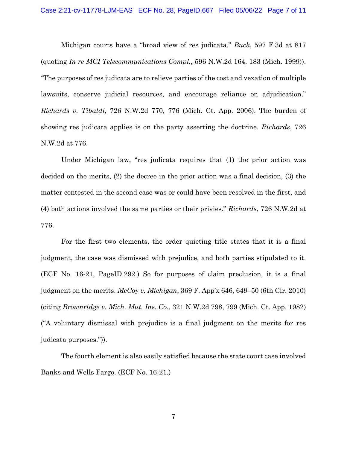Michigan courts have a "broad view of res judicata." *Buck*, 597 F.3d at 817 (quoting *In re MCI Telecommunications Compl.*, 596 N.W.2d 164, 183 (Mich. 1999)). *"*The purposes of res judicata are to relieve parties of the cost and vexation of multiple lawsuits, conserve judicial resources, and encourage reliance on adjudication." *Richards v. Tibaldi*, 726 N.W.2d 770, 776 (Mich. Ct. App. 2006). The burden of showing res judicata applies is on the party asserting the doctrine. *Richards*, 726 N.W.2d at 776.

Under Michigan law, "res judicata requires that (1) the prior action was decided on the merits, (2) the decree in the prior action was a final decision, (3) the matter contested in the second case was or could have been resolved in the first, and (4) both actions involved the same parties or their privies." *Richards*, 726 N.W.2d at 776.

For the first two elements, the order quieting title states that it is a final judgment, the case was dismissed with prejudice, and both parties stipulated to it. (ECF No. 16-21, PageID.292.) So for purposes of claim preclusion, it is a final judgment on the merits. *McCoy v. Michigan*, 369 F. App'x 646, 649–50 (6th Cir. 2010) (citing *Brownridge v. Mich. Mut. Ins. Co.*, 321 N.W.2d 798, 799 (Mich. Ct. App. 1982) ("A voluntary dismissal with prejudice is a final judgment on the merits for res judicata purposes.")).

The fourth element is also easily satisfied because the state court case involved Banks and Wells Fargo. (ECF No. 16-21.)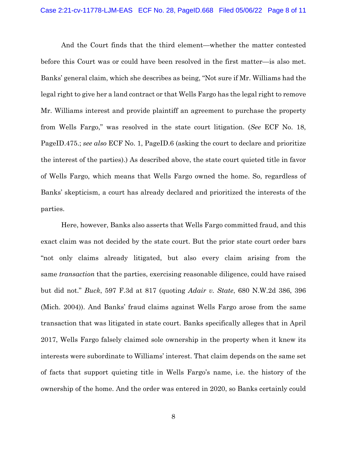And the Court finds that the third element—whether the matter contested before this Court was or could have been resolved in the first matter—is also met. Banks' general claim, which she describes as being, "Not sure if Mr. Williams had the legal right to give her a land contract or that Wells Fargo has the legal right to remove Mr. Williams interest and provide plaintiff an agreement to purchase the property from Wells Fargo," was resolved in the state court litigation. (*See* ECF No. 18, PageID.475.; *see also* ECF No. 1, PageID.6 (asking the court to declare and prioritize the interest of the parties).) As described above, the state court quieted title in favor of Wells Fargo, which means that Wells Fargo owned the home. So, regardless of Banks' skepticism, a court has already declared and prioritized the interests of the parties.

Here, however, Banks also asserts that Wells Fargo committed fraud, and this exact claim was not decided by the state court. But the prior state court order bars "not only claims already litigated, but also every claim arising from the same *transaction* that the parties, exercising reasonable diligence, could have raised but did not." *Buck*, 597 F.3d at 817 (quoting *Adair v. State*, 680 N.W.2d 386, 396 (Mich. 2004)). And Banks' fraud claims against Wells Fargo arose from the same transaction that was litigated in state court. Banks specifically alleges that in April 2017, Wells Fargo falsely claimed sole ownership in the property when it knew its interests were subordinate to Williams' interest. That claim depends on the same set of facts that support quieting title in Wells Fargo's name, i.e. the history of the ownership of the home. And the order was entered in 2020, so Banks certainly could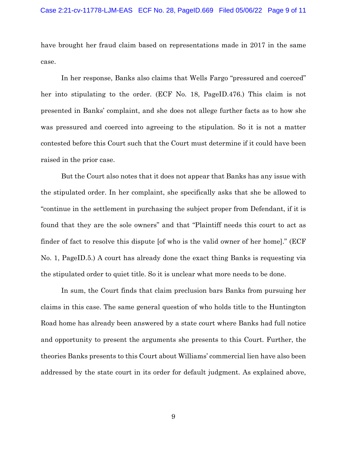have brought her fraud claim based on representations made in 2017 in the same case.

In her response, Banks also claims that Wells Fargo "pressured and coerced" her into stipulating to the order. (ECF No. 18, PageID.476.) This claim is not presented in Banks' complaint, and she does not allege further facts as to how she was pressured and coerced into agreeing to the stipulation. So it is not a matter contested before this Court such that the Court must determine if it could have been raised in the prior case.

But the Court also notes that it does not appear that Banks has any issue with the stipulated order. In her complaint, she specifically asks that she be allowed to "continue in the settlement in purchasing the subject proper from Defendant, if it is found that they are the sole owners" and that "Plaintiff needs this court to act as finder of fact to resolve this dispute [of who is the valid owner of her home]." (ECF No. 1, PageID.5.) A court has already done the exact thing Banks is requesting via the stipulated order to quiet title. So it is unclear what more needs to be done.

In sum, the Court finds that claim preclusion bars Banks from pursuing her claims in this case. The same general question of who holds title to the Huntington Road home has already been answered by a state court where Banks had full notice and opportunity to present the arguments she presents to this Court. Further, the theories Banks presents to this Court about Williams' commercial lien have also been addressed by the state court in its order for default judgment. As explained above,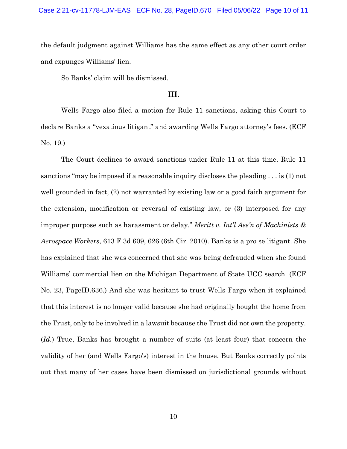the default judgment against Williams has the same effect as any other court order and expunges Williams' lien.

So Banks' claim will be dismissed.

## III.

Wells Fargo also filed a motion for Rule 11 sanctions, asking this Court to declare Banks a "vexatious litigant" and awarding Wells Fargo attorney's fees. (ECF No. 19.)

The Court declines to award sanctions under Rule 11 at this time. Rule 11 sanctions "may be imposed if a reasonable inquiry discloses the pleading . . . is (1) not well grounded in fact, (2) not warranted by existing law or a good faith argument for the extension, modification or reversal of existing law, or (3) interposed for any improper purpose such as harassment or delay." *Meritt v. Int'l Ass'n of Machinists & Aerospace Workers*, 613 F.3d 609, 626 (6th Cir. 2010). Banks is a pro se litigant. She has explained that she was concerned that she was being defrauded when she found Williams' commercial lien on the Michigan Department of State UCC search. (ECF No. 23, PageID.636.) And she was hesitant to trust Wells Fargo when it explained that this interest is no longer valid because she had originally bought the home from the Trust, only to be involved in a lawsuit because the Trust did not own the property. (*Id.*) True, Banks has brought a number of suits (at least four) that concern the validity of her (and Wells Fargo's) interest in the house. But Banks correctly points out that many of her cases have been dismissed on jurisdictional grounds without